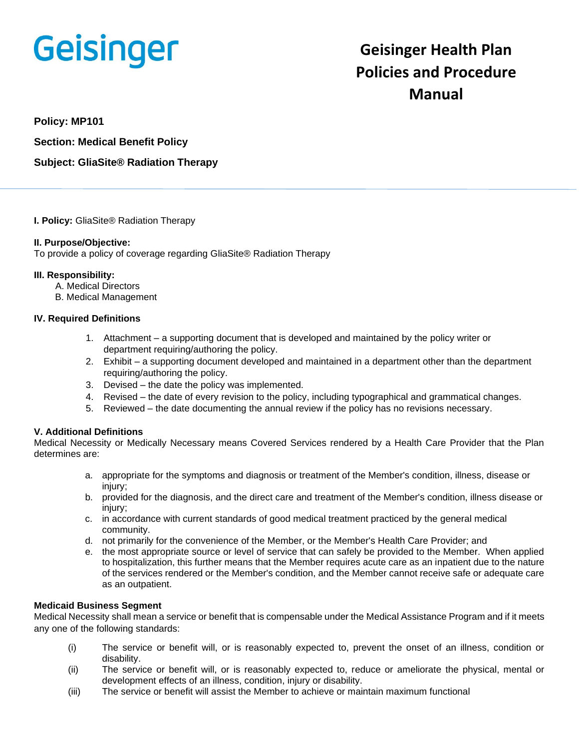# Geisinger

# **Geisinger Health Plan Policies and Procedure Manual**

**Policy: MP101**

**Section: Medical Benefit Policy**

**Subject: GliaSite® Radiation Therapy**

**I. Policy:** GliaSite® Radiation Therapy

#### **II. Purpose/Objective:**

To provide a policy of coverage regarding GliaSite® Radiation Therapy

#### **III. Responsibility:**

- A. Medical Directors
- B. Medical Management

# **IV. Required Definitions**

- 1. Attachment a supporting document that is developed and maintained by the policy writer or department requiring/authoring the policy.
- 2. Exhibit a supporting document developed and maintained in a department other than the department requiring/authoring the policy.
- 3. Devised the date the policy was implemented.
- 4. Revised the date of every revision to the policy, including typographical and grammatical changes.
- 5. Reviewed the date documenting the annual review if the policy has no revisions necessary.

# **V. Additional Definitions**

Medical Necessity or Medically Necessary means Covered Services rendered by a Health Care Provider that the Plan determines are:

- a. appropriate for the symptoms and diagnosis or treatment of the Member's condition, illness, disease or injury;
- b. provided for the diagnosis, and the direct care and treatment of the Member's condition, illness disease or injury;
- c. in accordance with current standards of good medical treatment practiced by the general medical community.
- d. not primarily for the convenience of the Member, or the Member's Health Care Provider; and
- e. the most appropriate source or level of service that can safely be provided to the Member. When applied to hospitalization, this further means that the Member requires acute care as an inpatient due to the nature of the services rendered or the Member's condition, and the Member cannot receive safe or adequate care as an outpatient.

# **Medicaid Business Segment**

Medical Necessity shall mean a service or benefit that is compensable under the Medical Assistance Program and if it meets any one of the following standards:

- (i) The service or benefit will, or is reasonably expected to, prevent the onset of an illness, condition or disability.
- (ii) The service or benefit will, or is reasonably expected to, reduce or ameliorate the physical, mental or development effects of an illness, condition, injury or disability.
- (iii) The service or benefit will assist the Member to achieve or maintain maximum functional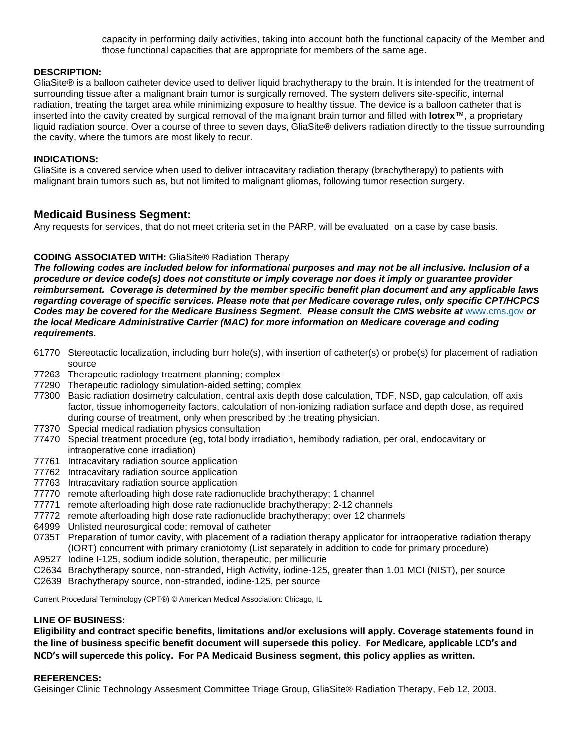capacity in performing daily activities, taking into account both the functional capacity of the Member and those functional capacities that are appropriate for members of the same age.

#### **DESCRIPTION:**

GliaSite® is a balloon catheter device used to deliver liquid brachytherapy to the brain. It is intended for the treatment of surrounding tissue after a malignant brain tumor is surgically removed. The system delivers site-specific, internal radiation, treating the target area while minimizing exposure to healthy tissue. The device is a balloon catheter that is inserted into the cavity created by surgical removal of the malignant brain tumor and filled with **Iotrex**™, a proprietary liquid radiation source. Over a course of three to seven days, GliaSite® delivers radiation directly to the tissue surrounding the cavity, where the tumors are most likely to recur.

#### **INDICATIONS:**

GliaSite is a covered service when used to deliver intracavitary radiation therapy (brachytherapy) to patients with malignant brain tumors such as, but not limited to malignant gliomas, following tumor resection surgery.

# **Medicaid Business Segment:**

Any requests for services, that do not meet criteria set in the PARP, will be evaluated on a case by case basis.

# **CODING ASSOCIATED WITH:** GliaSite® Radiation Therapy

*The following codes are included below for informational purposes and may not be all inclusive. Inclusion of a procedure or device code(s) does not constitute or imply coverage nor does it imply or guarantee provider reimbursement. Coverage is determined by the member specific benefit plan document and any applicable laws regarding coverage of specific services. Please note that per Medicare coverage rules, only specific CPT/HCPCS Codes may be covered for the Medicare Business Segment. Please consult the CMS website at* [www.cms.gov](http://www.cms.gov/) *or the local Medicare Administrative Carrier (MAC) for more information on Medicare coverage and coding requirements.*

- 61770 Stereotactic localization, including burr hole(s), with insertion of catheter(s) or probe(s) for placement of radiation source
- 77263 Therapeutic radiology treatment planning; complex
- 77290 Therapeutic radiology simulation-aided setting; complex
- 77300 Basic radiation dosimetry calculation, central axis depth dose calculation, TDF, NSD, gap calculation, off axis factor, tissue inhomogeneity factors, calculation of non-ionizing radiation surface and depth dose, as required during course of treatment, only when prescribed by the treating physician.
- 77370 Special medical radiation physics consultation
- 77470 Special treatment procedure (eg, total body irradiation, hemibody radiation, per oral, endocavitary or intraoperative cone irradiation)
- 77761 Intracavitary radiation source application
- 77762 Intracavitary radiation source application
- 77763 Intracavitary radiation source application
- 77770 remote afterloading high dose rate radionuclide brachytherapy; 1 channel
- 77771 remote afterloading high dose rate radionuclide brachytherapy; 2-12 channels
- 77772 remote afterloading high dose rate radionuclide brachytherapy; over 12 channels
- 64999 Unlisted neurosurgical code: removal of catheter
- 0735T Preparation of tumor cavity, with placement of a radiation therapy applicator for intraoperative radiation therapy (IORT) concurrent with primary craniotomy (List separately in addition to code for primary procedure)
- A9527 Iodine I-125, sodium iodide solution, therapeutic, per millicurie
- C2634 Brachytherapy source, non-stranded, High Activity, iodine-125, greater than 1.01 MCI (NIST), per source
- C2639 Brachytherapy source, non-stranded, iodine-125, per source

Current Procedural Terminology (CPT®) © American Medical Association: Chicago, IL

#### **LINE OF BUSINESS:**

**Eligibility and contract specific benefits, limitations and/or exclusions will apply. Coverage statements found in the line of business specific benefit document will supersede this policy. For Medicare, applicable LCD's and NCD's will supercede this policy. For PA Medicaid Business segment, this policy applies as written.**

#### **REFERENCES:**

Geisinger Clinic Technology Assesment Committee Triage Group, GliaSite® Radiation Therapy, Feb 12, 2003.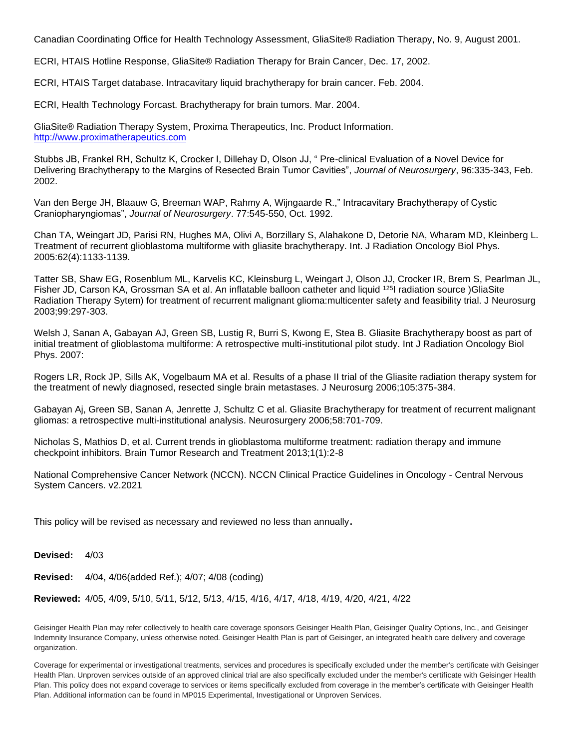Canadian Coordinating Office for Health Technology Assessment, GliaSite® Radiation Therapy, No. 9, August 2001.

ECRI, HTAIS Hotline Response, GliaSite® Radiation Therapy for Brain Cancer, Dec. 17, 2002.

ECRI, HTAIS Target database. Intracavitary liquid brachytherapy for brain cancer. Feb. 2004.

ECRI, Health Technology Forcast. Brachytherapy for brain tumors. Mar. 2004.

GliaSite® Radiation Therapy System, Proxima Therapeutics, Inc. Product Information. [http://www.proximatherapeutics.com](http://www.proximatherapeutics.com/)

Stubbs JB, Frankel RH, Schultz K, Crocker I, Dillehay D, Olson JJ, " Pre-clinical Evaluation of a Novel Device for Delivering Brachytherapy to the Margins of Resected Brain Tumor Cavities", *Journal of Neurosurgery*, 96:335-343, Feb. 2002.

Van den Berge JH, Blaauw G, Breeman WAP, Rahmy A, Wijngaarde R.," Intracavitary Brachytherapy of Cystic Craniopharyngiomas", *Journal of Neurosurgery*. 77:545-550, Oct. 1992.

Chan TA, Weingart JD, Parisi RN, Hughes MA, Olivi A, Borzillary S, Alahakone D, Detorie NA, Wharam MD, Kleinberg L. Treatment of recurrent glioblastoma multiforme with gliasite brachytherapy. Int. J Radiation Oncology Biol Phys. 2005:62(4):1133-1139.

Tatter SB, Shaw EG, Rosenblum ML, Karvelis KC, Kleinsburg L, Weingart J, Olson JJ, Crocker IR, Brem S, Pearlman JL, Fisher JD, Carson KA, Grossman SA et al. An inflatable balloon catheter and liquid <sup>125</sup>I radiation source )GliaSite Radiation Therapy Sytem) for treatment of recurrent malignant glioma:multicenter safety and feasibility trial. J Neurosurg 2003;99:297-303.

Welsh J, Sanan A, Gabayan AJ, Green SB, Lustig R, Burri S, Kwong E, Stea B. Gliasite Brachytherapy boost as part of initial treatment of glioblastoma multiforme: A retrospective multi-institutional pilot study. Int J Radiation Oncology Biol Phys. 2007:

Rogers LR, Rock JP, Sills AK, Vogelbaum MA et al. Results of a phase II trial of the Gliasite radiation therapy system for the treatment of newly diagnosed, resected single brain metastases. J Neurosurg 2006;105:375-384.

Gabayan Aj, Green SB, Sanan A, Jenrette J, Schultz C et al. Gliasite Brachytherapy for treatment of recurrent malignant gliomas: a retrospective multi-institutional analysis. Neurosurgery 2006;58:701-709.

Nicholas S, Mathios D, et al. Current trends in glioblastoma multiforme treatment: radiation therapy and immune checkpoint inhibitors. Brain Tumor Research and Treatment 2013;1(1):2-8

National Comprehensive Cancer Network (NCCN). NCCN Clinical Practice Guidelines in Oncology - Central Nervous System Cancers. v2.2021

This policy will be revised as necessary and reviewed no less than annually.

**Devised:** 4/03

**Revised:** 4/04, 4/06(added Ref.); 4/07; 4/08 (coding)

**Reviewed:** 4/05, 4/09, 5/10, 5/11, 5/12, 5/13, 4/15, 4/16, 4/17, 4/18, 4/19, 4/20, 4/21, 4/22

Geisinger Health Plan may refer collectively to health care coverage sponsors Geisinger Health Plan, Geisinger Quality Options, Inc., and Geisinger Indemnity Insurance Company, unless otherwise noted. Geisinger Health Plan is part of Geisinger, an integrated health care delivery and coverage organization.

Coverage for experimental or investigational treatments, services and procedures is specifically excluded under the member's certificate with Geisinger Health Plan. Unproven services outside of an approved clinical trial are also specifically excluded under the member's certificate with Geisinger Health Plan. This policy does not expand coverage to services or items specifically excluded from coverage in the member's certificate with Geisinger Health Plan. Additional information can be found in MP015 Experimental, Investigational or Unproven Services.